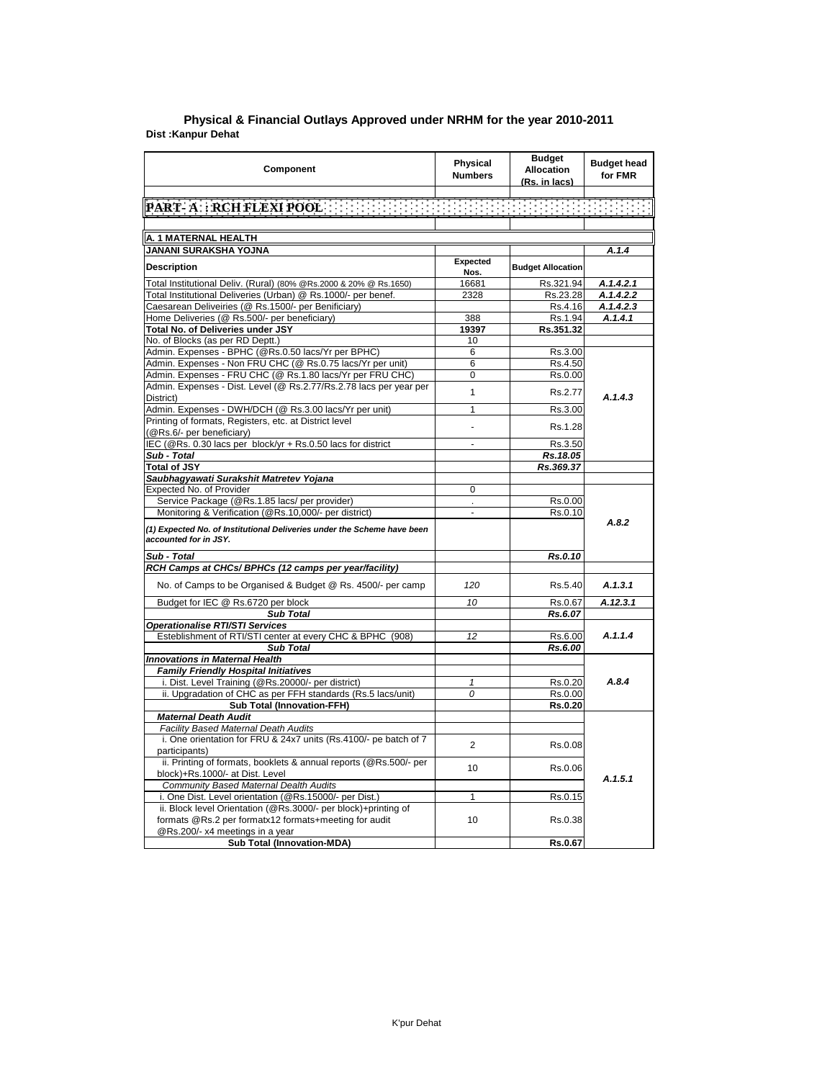| Component                                                                                                       | <b>Physical</b><br><b>Numbers</b> | <b>Budget</b><br><b>Allocation</b><br>(Rs. in lacs) | <b>Budget head</b><br>for FMR |
|-----------------------------------------------------------------------------------------------------------------|-----------------------------------|-----------------------------------------------------|-------------------------------|
|                                                                                                                 |                                   |                                                     |                               |
|                                                                                                                 |                                   |                                                     |                               |
|                                                                                                                 |                                   |                                                     |                               |
| A. 1 MATERNAL HEALTH                                                                                            |                                   |                                                     |                               |
| JANANI SURAKSHA YOJNA                                                                                           |                                   |                                                     | A.1.4                         |
| <b>Description</b>                                                                                              | Expected<br>Nos.                  | <b>Budget Allocation</b>                            |                               |
| Total Institutional Deliv. (Rural) (80% @Rs.2000 & 20% @ Rs.1650)                                               | 16681                             | Rs.321.94                                           | A.1.4.2.1                     |
| Total Institutional Deliveries (Urban) @ Rs.1000/- per benef.                                                   | 2328                              | Rs.23.28                                            | A.1.4.2.2                     |
| Caesarean Deliveiries (@ Rs.1500/- per Benificiary)                                                             |                                   | Rs.4.16                                             | A.1.4.2.3                     |
| Home Deliveries (@ Rs.500/- per beneficiary)                                                                    | 388                               | Rs.1.94                                             | A.1.4.1                       |
| <b>Total No. of Deliveries under JSY</b>                                                                        | 19397                             | Rs.351.32                                           |                               |
| No. of Blocks (as per RD Deptt.)                                                                                | 10                                |                                                     |                               |
| Admin. Expenses - BPHC (@Rs.0.50 lacs/Yr per BPHC)                                                              | 6                                 | Rs.3.00                                             |                               |
| Admin. Expenses - Non FRU CHC (@ Rs.0.75 lacs/Yr per unit)                                                      | 6                                 | Rs.4.50                                             |                               |
| Admin. Expenses - FRU CHC (@ Rs.1.80 lacs/Yr per FRU CHC)                                                       | 0                                 | Rs.0.00                                             |                               |
| Admin. Expenses - Dist. Level (@ Rs.2.77/Rs.2.78 lacs per year per                                              |                                   |                                                     |                               |
| District)                                                                                                       | 1                                 | Rs.2.77                                             | A.1.4.3                       |
| Admin. Expenses - DWH/DCH (@ Rs.3.00 lacs/Yr per unit)                                                          | $\overline{1}$                    | Rs.3.00                                             |                               |
| Printing of formats, Registers, etc. at District level                                                          | L.                                | Rs.1.28                                             |                               |
| (@Rs.6/- per beneficiary)                                                                                       |                                   |                                                     |                               |
| IEC (@Rs. 0.30 lacs per block/yr + Rs.0.50 lacs for district                                                    | ÷.                                | Rs.3.50                                             |                               |
| Sub - Total                                                                                                     |                                   | Rs.18.05                                            |                               |
| <b>Total of JSY</b>                                                                                             |                                   | Rs.369.37                                           |                               |
| Saubhagyawati Surakshit Matretev Yojana                                                                         |                                   |                                                     |                               |
| Expected No. of Provider                                                                                        | 0                                 |                                                     |                               |
| Service Package (@Rs.1.85 lacs/ per provider)                                                                   |                                   | Rs.0.00                                             |                               |
| Monitoring & Verification (@Rs.10,000/- per district)                                                           |                                   | Rs.0.10                                             |                               |
| (1) Expected No. of Institutional Deliveries under the Scheme have been<br>accounted for in JSY.                |                                   |                                                     | A.8.2                         |
| Sub - Total                                                                                                     |                                   | Rs.0.10                                             |                               |
| RCH Camps at CHCs/ BPHCs (12 camps per year/facility)                                                           |                                   |                                                     |                               |
| No. of Camps to be Organised & Budget @ Rs. 4500/- per camp                                                     | 120                               | Rs.5.40                                             | A.1.3.1                       |
| Budget for IEC @ Rs.6720 per block                                                                              | 10                                | Rs.0.67                                             | A.12.3.1                      |
| <b>Sub Total</b>                                                                                                |                                   | Rs.6.07                                             |                               |
| <b>Operationalise RTI/STI Services</b>                                                                          |                                   |                                                     |                               |
| Esteblishment of RTI/STI center at every CHC & BPHC (908)                                                       | 12                                | Rs.6.00                                             | A.1.1.4                       |
| Sub Total                                                                                                       |                                   | Rs.6.00                                             |                               |
| <b>Innovations in Maternal Health</b>                                                                           |                                   |                                                     |                               |
| <b>Family Friendly Hospital Initiatives</b>                                                                     |                                   |                                                     |                               |
| i. Dist. Level Training (@Rs.20000/- per district)                                                              | 1                                 | Rs.0.20                                             | A.8.4                         |
| ii. Upgradation of CHC as per FFH standards (Rs.5 lacs/unit)                                                    | 0                                 | Rs.0.00                                             |                               |
| <b>Sub Total (Innovation-FFH)</b>                                                                               |                                   | Rs.0.20                                             |                               |
| <b>Maternal Death Audit</b>                                                                                     |                                   |                                                     |                               |
|                                                                                                                 |                                   |                                                     |                               |
| <b>Facility Based Maternal Death Audits</b><br>i. One orientation for FRU & 24x7 units (Rs.4100/- pe batch of 7 |                                   |                                                     |                               |
| participants)                                                                                                   | $\overline{2}$                    | Rs.0.08                                             |                               |
| ii. Printing of formats, booklets & annual reports (@Rs.500/- per                                               | 10                                | Rs.0.06                                             |                               |
| block)+Rs.1000/- at Dist. Level                                                                                 |                                   |                                                     | A.1.5.1                       |
| Community Based Maternal Dealth Audits                                                                          |                                   |                                                     |                               |
| i. One Dist. Level orientation (@Rs.15000/- per Dist.)                                                          | 1                                 | Rs.0.15                                             |                               |
| ii. Block level Orientation (@Rs.3000/- per block)+printing of                                                  |                                   |                                                     |                               |
| formats @Rs.2 per formatx12 formats+meeting for audit<br>@Rs.200/- x4 meetings in a year                        | 10                                | Rs.0.38                                             |                               |
| <b>Sub Total (Innovation-MDA)</b>                                                                               |                                   | Rs.0.67                                             |                               |
|                                                                                                                 |                                   |                                                     |                               |

## **Dist :Kanpur Dehat District : Agra Physical & Financial Outlays Approved under NRHM for the year 2010-2011**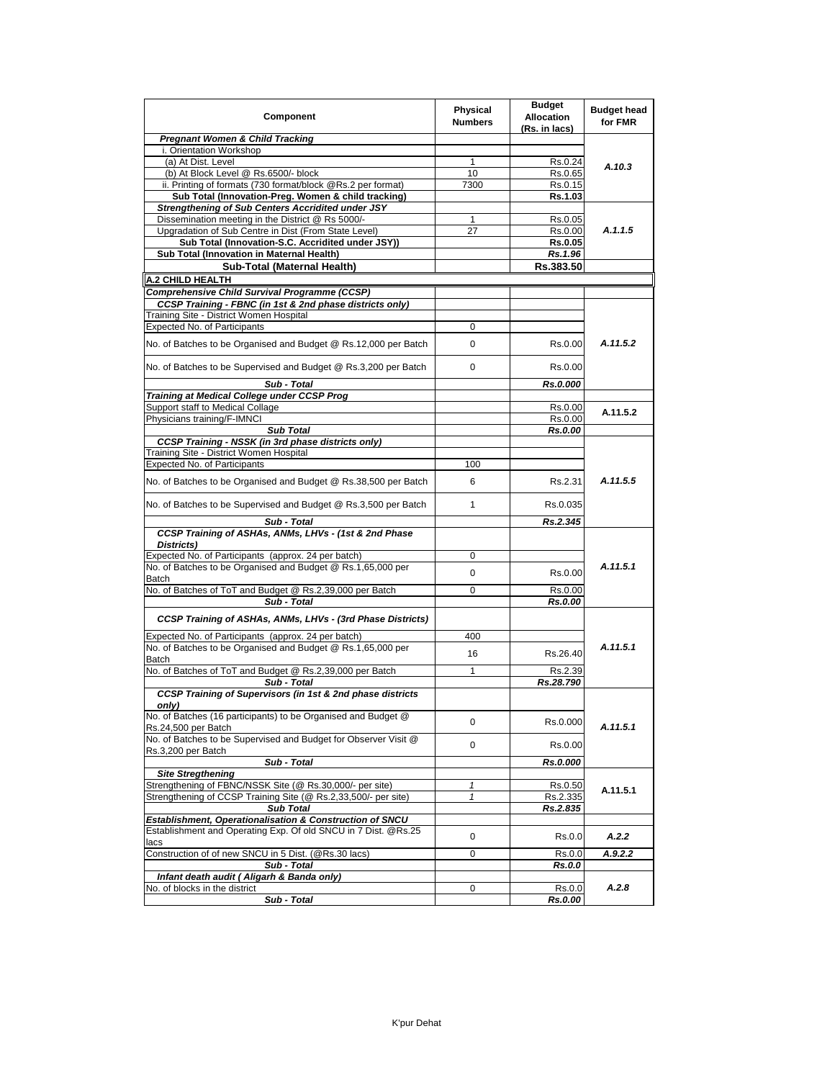| Component                                                                             | <b>Physical</b><br><b>Numbers</b> | <b>Budget</b><br><b>Allocation</b><br>(Rs. in lacs) | <b>Budget head</b><br>for FMR |
|---------------------------------------------------------------------------------------|-----------------------------------|-----------------------------------------------------|-------------------------------|
| <b>Pregnant Women &amp; Child Tracking</b>                                            |                                   |                                                     |                               |
| i. Orientation Workshop                                                               |                                   |                                                     |                               |
| (a) At Dist. Level                                                                    | 1                                 | Rs.0.24                                             | A.10.3                        |
| (b) At Block Level @ Rs.6500/- block                                                  | 10                                | Rs.0.65                                             |                               |
| ii. Printing of formats (730 format/block @Rs.2 per format)                           | 7300                              | Rs.0.15                                             |                               |
| Sub Total (Innovation-Preg. Women & child tracking)                                   |                                   | Rs.1.03                                             |                               |
| Strengthening of Sub Centers Accridited under JSY                                     |                                   |                                                     |                               |
| Dissemination meeting in the District @ Rs 5000/-                                     | 1                                 | Rs.0.05                                             | A.1.1.5                       |
| Upgradation of Sub Centre in Dist (From State Level)                                  | 27                                | Rs.0.00                                             |                               |
| Sub Total (Innovation-S.C. Accridited under JSY))                                     |                                   | Rs.0.05                                             |                               |
| Sub Total (Innovation in Maternal Health)                                             |                                   | Rs.1.96                                             |                               |
| Sub-Total (Maternal Health)                                                           |                                   | Rs.383.50                                           |                               |
| <b>A.2 CHILD HEALTH</b>                                                               |                                   |                                                     |                               |
| Comprehensive Child Survival Programme (CCSP)                                         |                                   |                                                     |                               |
| CCSP Training - FBNC (in 1st & 2nd phase districts only)                              |                                   |                                                     |                               |
| Training Site - District Women Hospital                                               |                                   |                                                     |                               |
| Expected No. of Participants                                                          | 0                                 |                                                     |                               |
| No. of Batches to be Organised and Budget @ Rs.12,000 per Batch                       | 0                                 | Rs.0.00                                             | A.11.5.2                      |
| No. of Batches to be Supervised and Budget @ Rs.3,200 per Batch                       | 0                                 | Rs.0.00                                             |                               |
| Sub - Total                                                                           |                                   | Rs.0.000                                            |                               |
| Training at Medical College under CCSP Prog                                           |                                   |                                                     |                               |
| Support staff to Medical Collage                                                      |                                   | Rs.0.00                                             | A.11.5.2                      |
| Physicians training/F-IMNCI                                                           |                                   | Rs.0.00                                             |                               |
| <b>Sub Total</b>                                                                      |                                   | Rs.0.00                                             |                               |
| <b>CCSP Training - NSSK (in 3rd phase districts only)</b>                             |                                   |                                                     |                               |
| Training Site - District Women Hospital                                               |                                   |                                                     |                               |
| <b>Expected No. of Participants</b>                                                   | 100                               |                                                     |                               |
| No. of Batches to be Organised and Budget @ Rs.38,500 per Batch                       | 6                                 | Rs.2.31                                             | A.11.5.5                      |
| No. of Batches to be Supervised and Budget @ Rs.3,500 per Batch                       | $\mathbf{1}$                      | Rs.0.035                                            |                               |
| Sub - Total                                                                           |                                   | Rs.2.345                                            |                               |
| CCSP Training of ASHAs, ANMs, LHVs - (1st & 2nd Phase<br>Districts)                   |                                   |                                                     |                               |
| Expected No. of Participants (approx. 24 per batch)                                   | 0                                 |                                                     |                               |
| No. of Batches to be Organised and Budget @ Rs.1,65,000 per                           | 0                                 | Rs.0.00                                             | A.11.5.1                      |
| <b>Batch</b>                                                                          |                                   |                                                     |                               |
| No. of Batches of ToT and Budget @ Rs.2,39,000 per Batch                              | 0                                 | Rs.0.00                                             |                               |
| Sub - Total                                                                           |                                   | Rs.0.00                                             |                               |
| CCSP Training of ASHAs, ANMs, LHVs - (3rd Phase Districts)                            |                                   |                                                     |                               |
| Expected No. of Participants (approx. 24 per batch)                                   | 400                               |                                                     |                               |
| No. of Batches to be Organised and Budget @ Rs.1,65,000 per<br>Batch                  | 16                                | Rs.26.40                                            | A.11.5.1                      |
| No. of Batches of ToT and Budget @ Rs.2,39,000 per Batch                              | 1                                 | Rs.2.39                                             |                               |
| Sub - Total                                                                           |                                   | Rs.28.790                                           |                               |
| CCSP Training of Supervisors (in 1st & 2nd phase districts<br>only)                   |                                   |                                                     |                               |
| No. of Batches (16 participants) to be Organised and Budget @<br>Rs.24,500 per Batch  | 0                                 | Rs.0.000                                            | A.11.5.1                      |
| No. of Batches to be Supervised and Budget for Observer Visit @<br>Rs.3,200 per Batch | 0                                 | Rs.0.00                                             |                               |
| Sub - Total                                                                           |                                   | Rs.0.000                                            |                               |
| <b>Site Stregthening</b>                                                              |                                   |                                                     |                               |
| Strengthening of FBNC/NSSK Site (@ Rs.30,000/- per site)                              | $\mathbf{1}$                      | Rs.0.50                                             |                               |
| Strengthening of CCSP Training Site (@ Rs.2,33,500/- per site)                        | $\mathbf{1}$                      | Rs.2.335                                            | A.11.5.1                      |
| <b>Sub Total</b>                                                                      |                                   | Rs.2.835                                            |                               |
| Establishment, Operationalisation & Construction of SNCU                              |                                   |                                                     |                               |
| Establishment and Operating Exp. Of old SNCU in 7 Dist. @Rs.25<br>lacs                | 0                                 | Rs.0.0                                              | A.2.2                         |
| Construction of of new SNCU in 5 Dist. (@Rs.30 lacs)                                  | 0                                 | Rs.0.0                                              | A.9.2.2                       |
| Sub - Total                                                                           |                                   | Rs.0.0                                              |                               |
| Infant death audit (Aligarh & Banda only)                                             |                                   |                                                     |                               |
| No. of blocks in the district                                                         | 0                                 | Rs.0.0                                              | A.2.8                         |
| Sub - Total                                                                           |                                   | Rs.0.00                                             |                               |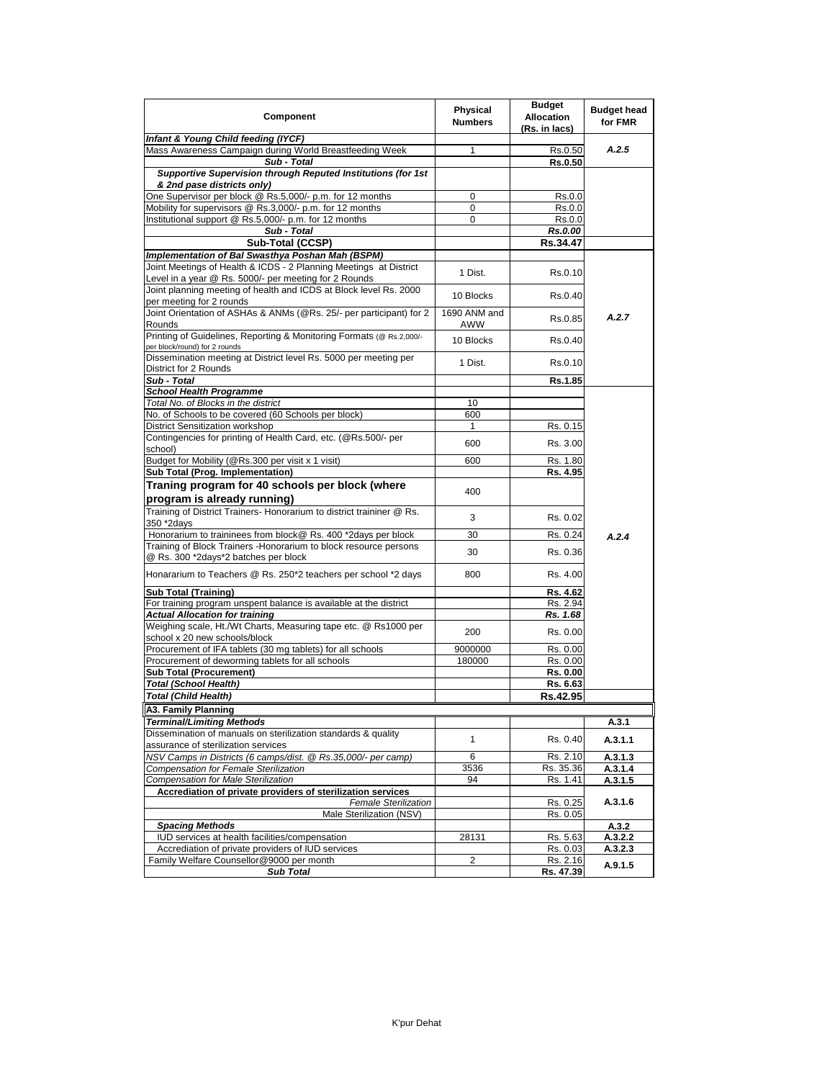| Component                                                                                                | Physical<br><b>Numbers</b> | <b>Budget</b><br><b>Allocation</b><br>(Rs. in lacs) | <b>Budget head</b><br>for FMR |
|----------------------------------------------------------------------------------------------------------|----------------------------|-----------------------------------------------------|-------------------------------|
| Infant & Young Child feeding (IYCF)                                                                      |                            |                                                     |                               |
| Mass Awareness Campaign during World Breastfeeding Week                                                  | 1                          | Rs.0.50                                             | A.2.5                         |
| Sub - Total                                                                                              |                            | Rs.0.50                                             |                               |
| Supportive Supervision through Reputed Institutions (for 1st<br>& 2nd pase districts only)               |                            |                                                     |                               |
| One Supervisor per block @ Rs.5,000/- p.m. for 12 months                                                 | 0                          | Rs.0.0                                              |                               |
| Mobility for supervisors @ Rs.3,000/- p.m. for 12 months                                                 | 0                          | Rs.0.0                                              |                               |
| Institutional support @ Rs.5,000/- p.m. for 12 months                                                    | 0                          | Rs.0.0                                              |                               |
| Sub - Total                                                                                              |                            | <b>Rs.0.00</b>                                      |                               |
| Sub-Total (CCSP)                                                                                         |                            | Rs.34.47                                            |                               |
| Implementation of Bal Swasthya Poshan Mah (BSPM)                                                         |                            |                                                     |                               |
| Joint Meetings of Health & ICDS - 2 Planning Meetings at District                                        |                            |                                                     |                               |
| Level in a year @ Rs. 5000/- per meeting for 2 Rounds                                                    | 1 Dist.                    | Rs.0.10                                             |                               |
| Joint planning meeting of health and ICDS at Block level Rs. 2000                                        | 10 Blocks                  | Rs.0.40                                             |                               |
| per meeting for 2 rounds                                                                                 |                            |                                                     |                               |
| Joint Orientation of ASHAs & ANMs (@Rs. 25/- per participant) for 2<br>Rounds                            | 1690 ANM and<br>AWW        | Rs.0.85                                             | A.2.7                         |
| Printing of Guidelines, Reporting & Monitoring Formats (@ Rs.2,000/-<br>per block/round) for 2 rounds    | 10 Blocks                  | Rs.0.40                                             |                               |
| Dissemination meeting at District level Rs. 5000 per meeting per                                         |                            |                                                     |                               |
| District for 2 Rounds                                                                                    | 1 Dist.                    | Rs.0.10                                             |                               |
| Sub - Total                                                                                              |                            | Rs.1.85                                             |                               |
| <b>School Health Programme</b>                                                                           |                            |                                                     |                               |
| Total No, of Blocks in the district                                                                      | 10                         |                                                     |                               |
| No. of Schools to be covered (60 Schools per block)                                                      | 600                        |                                                     |                               |
| District Sensitization workshop<br>Contingencies for printing of Health Card, etc. (@Rs.500/- per        | 1                          | Rs. 0.15                                            |                               |
| school)                                                                                                  | 600                        | Rs. 3.00                                            |                               |
| Budget for Mobility (@Rs.300 per visit x 1 visit)                                                        | 600                        | Rs. 1.80                                            |                               |
| Sub Total (Prog. Implementation)                                                                         |                            | Rs. 4.95                                            |                               |
| Traning program for 40 schools per block (where                                                          |                            |                                                     |                               |
| program is already running)                                                                              | 400                        |                                                     |                               |
| Training of District Trainers- Honorarium to district traininer @ Rs.                                    |                            |                                                     |                               |
| 350 *2days                                                                                               | 3                          | Rs. 0.02                                            |                               |
| Honorarium to traininees from block@ Rs. 400 *2days per block                                            | 30                         | Rs. 0.24                                            | A.2.4                         |
| Training of Block Trainers - Honorarium to block resource persons                                        |                            |                                                     |                               |
| @ Rs. 300 *2days*2 batches per block                                                                     | 30                         | Rs. 0.36                                            |                               |
| Honararium to Teachers @ Rs. 250*2 teachers per school *2 days                                           | 800                        | Rs. 4.00                                            |                               |
|                                                                                                          |                            |                                                     |                               |
| <b>Sub Total (Training)</b>                                                                              |                            | Rs. 4.62                                            |                               |
| For training program unspent balance is available at the district                                        |                            | Rs. 2.94                                            |                               |
| <b>Actual Allocation for training</b><br>Weighing scale, Ht./Wt Charts, Measuring tape etc. @ Rs1000 per |                            | Rs. 1.68                                            |                               |
| school x 20 new schools/block                                                                            | 200                        | Rs. 0.00                                            |                               |
| Procurement of IFA tablets (30 mg tablets) for all schools                                               | 9000000                    | Rs. 0.00                                            |                               |
| Procurement of deworming tablets for all schools                                                         | 180000                     | Rs. 0.00                                            |                               |
| <b>Sub Total (Procurement)</b>                                                                           |                            | Rs. 0.00                                            |                               |
| Total (School Health)                                                                                    |                            | Rs. 6.63                                            |                               |
| <b>Total (Child Health)</b>                                                                              |                            | Rs.42.95                                            |                               |
| A3. Family Planning                                                                                      |                            |                                                     |                               |
| Terminal/Limiting Methods                                                                                |                            |                                                     | A.3.1                         |
| Dissemination of manuals on sterilization standards & quality                                            |                            |                                                     |                               |
| assurance of sterilization services                                                                      | 1                          | Rs. 0.40                                            | A.3.1.1                       |
| NSV Camps in Districts (6 camps/dist. @ Rs.35,000/- per camp)                                            | 6                          | Rs. 2.10                                            | A.3.1.3                       |
| Compensation for Female Sterilization                                                                    | 3536                       | Rs. 35.36                                           | A.3.1.4                       |
| Compensation for Male Sterilization                                                                      | 94                         | Rs. 1.41                                            | A.3.1.5                       |
| Accrediation of private providers of sterilization services                                              |                            |                                                     |                               |
| <b>Female Sterilization</b>                                                                              |                            | Rs. 0.25                                            | A.3.1.6                       |
| Male Sterilization (NSV)                                                                                 |                            | Rs. 0.05                                            |                               |
| <b>Spacing Methods</b>                                                                                   |                            |                                                     | A.3.2                         |
| IUD services at health facilities/compensation                                                           | 28131                      | Rs. 5.63                                            | A.3.2.2                       |
| Accrediation of private providers of IUD services<br>Family Welfare Counsellor@9000 per month            | $\overline{\mathbf{c}}$    | Rs. 0.03<br>Rs. 2.16                                | A.3.2.3                       |
| <b>Sub Total</b>                                                                                         |                            | <u>Rs. 47.39</u>                                    | A.9.1.5                       |
|                                                                                                          |                            |                                                     |                               |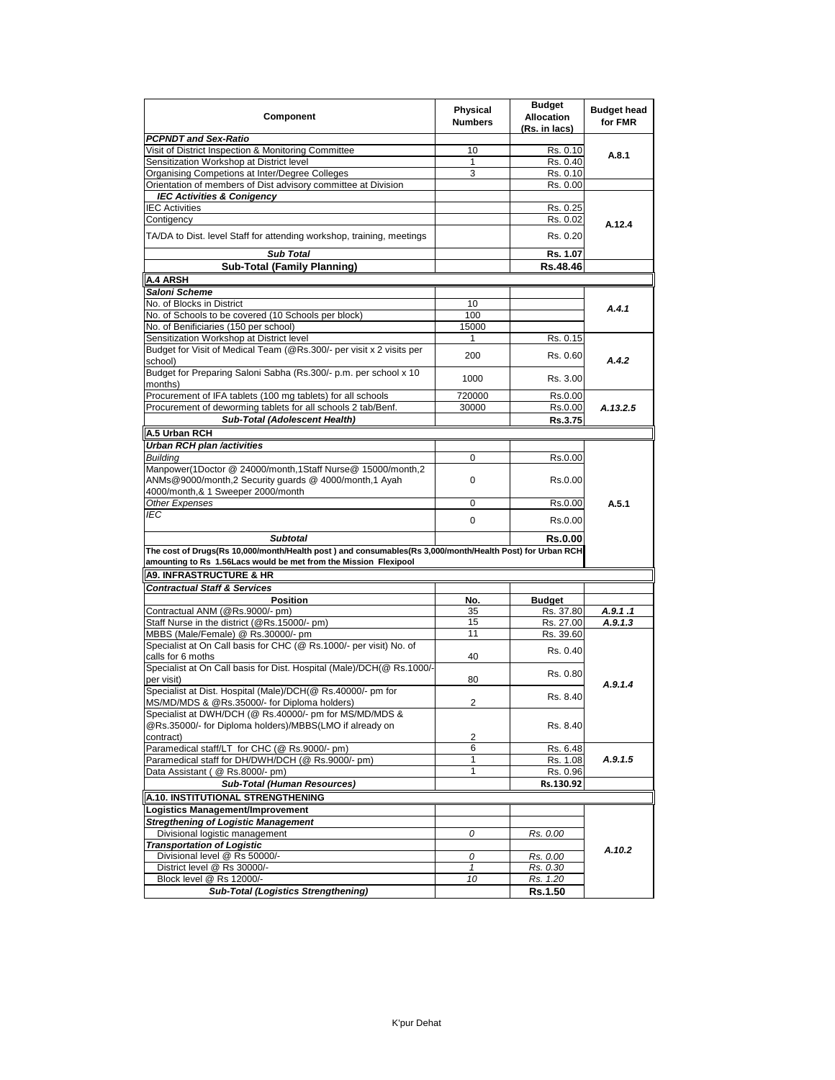| Component                                                                                                                                                                    | Physical<br><b>Numbers</b> | <b>Budget</b><br><b>Allocation</b><br>(Rs. in lacs) | <b>Budget head</b><br>for FMR |
|------------------------------------------------------------------------------------------------------------------------------------------------------------------------------|----------------------------|-----------------------------------------------------|-------------------------------|
| PCPNDT and Sex-Ratio                                                                                                                                                         |                            |                                                     |                               |
| Visit of District Inspection & Monitoring Committee                                                                                                                          | 10                         | Rs. 0.10                                            | A.8.1                         |
| Sensitization Workshop at District level                                                                                                                                     | 1                          | Rs. 0.40                                            |                               |
| Organising Competions at Inter/Degree Colleges                                                                                                                               | 3                          | Rs. 0.10                                            |                               |
| Orientation of members of Dist advisory committee at Division                                                                                                                |                            | Rs. 0.00                                            |                               |
| <b>IEC Activities &amp; Conigency</b>                                                                                                                                        |                            |                                                     |                               |
| <b>IEC Activities</b>                                                                                                                                                        |                            | Rs. 0.25                                            |                               |
| Contigency                                                                                                                                                                   |                            | Rs. 0.02                                            | A.12.4                        |
| TA/DA to Dist. level Staff for attending workshop, training, meetings                                                                                                        |                            | Rs. 0.20                                            |                               |
| <b>Sub Total</b>                                                                                                                                                             |                            | Rs. 1.07                                            |                               |
| <b>Sub-Total (Family Planning)</b>                                                                                                                                           |                            | Rs.48.46                                            |                               |
| A.4 ARSH                                                                                                                                                                     |                            |                                                     |                               |
| Saloni Scheme                                                                                                                                                                |                            |                                                     |                               |
| No. of Blocks in District                                                                                                                                                    | 10                         |                                                     |                               |
| No. of Schools to be covered (10 Schools per block)                                                                                                                          | 100                        |                                                     | A.4.1                         |
| No. of Benificiaries (150 per school)                                                                                                                                        | 15000                      |                                                     |                               |
| Sensitization Workshop at District level                                                                                                                                     | 1                          | Rs. 0.15                                            |                               |
| Budget for Visit of Medical Team (@Rs.300/- per visit x 2 visits per                                                                                                         |                            |                                                     |                               |
| school)                                                                                                                                                                      | 200                        | Rs. 0.60                                            | A.4.2                         |
| Budget for Preparing Saloni Sabha (Rs.300/- p.m. per school x 10<br>months)                                                                                                  | 1000                       | Rs. 3.00                                            |                               |
| Procurement of IFA tablets (100 mg tablets) for all schools                                                                                                                  | 720000                     | Rs.0.00                                             |                               |
| Procurement of deworming tablets for all schools 2 tab/Benf.                                                                                                                 | 30000                      | Rs.0.00                                             | A.13.2.5                      |
| Sub-Total (Adolescent Health)                                                                                                                                                |                            | Rs.3.75                                             |                               |
| A.5 Urban RCH                                                                                                                                                                |                            |                                                     |                               |
| Urban RCH plan /activities                                                                                                                                                   |                            |                                                     |                               |
| <b>Building</b>                                                                                                                                                              | 0                          | Rs.0.00                                             |                               |
| Manpower(1Doctor @ 24000/month,1Staff Nurse@ 15000/month,2<br>ANMs@9000/month,2 Security quards @ 4000/month,1 Ayah                                                          | 0                          | Rs.0.00                                             |                               |
| 4000/month,& 1 Sweeper 2000/month                                                                                                                                            |                            |                                                     |                               |
| <b>Other Expenses</b>                                                                                                                                                        | 0                          | Rs.0.00                                             | A.5.1                         |
| IEC                                                                                                                                                                          | 0                          | Rs.0.00                                             |                               |
| <b>Subtotal</b>                                                                                                                                                              |                            | <b>Rs.0.00</b>                                      |                               |
| The cost of Drugs(Rs 10,000/month/Health post) and consumables(Rs 3,000/month/Health Post) for Urban RCH<br>amounting to Rs 1.56Lacs would be met from the Mission Flexipool |                            |                                                     |                               |
| <b>A9. INFRASTRUCTURE &amp; HR</b>                                                                                                                                           |                            |                                                     |                               |
| <b>Contractual Staff &amp; Services</b>                                                                                                                                      |                            |                                                     |                               |
| Position                                                                                                                                                                     | No.                        | <b>Budget</b>                                       |                               |
| Contractual ANM (@Rs.9000/- pm)                                                                                                                                              | 35                         | Rs. 37.80                                           | A.9.1.1                       |
| Staff Nurse in the district (@Rs.15000/- pm)                                                                                                                                 | 15                         | Rs. 27.00                                           | A.9.1.3                       |
| MBBS (Male/Female) @ Rs.30000/- pm                                                                                                                                           | 11                         | Rs. 39.60                                           |                               |
| Specialist at On Call basis for CHC (@ Rs.1000/- per visit) No. of                                                                                                           |                            | Rs. 0.40                                            |                               |
| calls for 6 moths                                                                                                                                                            | 40                         |                                                     |                               |
| Specialist at On Call basis for Dist. Hospital (Male)/DCH(@ Rs.1000/-<br>per visit)                                                                                          | 80                         | Rs. 0.80                                            | A.9.1.4                       |
| Specialist at Dist. Hospital (Male)/DCH(@ Rs.40000/- pm for                                                                                                                  |                            | Rs. 8.40                                            |                               |
| MS/MD/MDS & @Rs.35000/- for Diploma holders)                                                                                                                                 | 2                          |                                                     |                               |
| Specialist at DWH/DCH (@ Rs.40000/- pm for MS/MD/MDS &                                                                                                                       |                            |                                                     |                               |
| @Rs.35000/- for Diploma holders)/MBBS(LMO if already on                                                                                                                      |                            | Rs. 8.40                                            |                               |
| contract)                                                                                                                                                                    | 2                          |                                                     |                               |
| Paramedical staff/LT for CHC (@ Rs.9000/- pm)                                                                                                                                | 6                          | Rs. 6.48                                            | A.9.1.5                       |
| Paramedical staff for DH/DWH/DCH (@ Rs.9000/- pm)                                                                                                                            | 1                          | Rs. 1.08                                            |                               |
| Data Assistant ( @ Rs.8000/- pm)                                                                                                                                             | 1                          | Rs. 0.96                                            |                               |
| <b>Sub-Total (Human Resources)</b>                                                                                                                                           |                            | Rs.130.92                                           |                               |
| A.10. INSTITUTIONAL STRENGTHENING                                                                                                                                            |                            |                                                     |                               |
| <b>Logistics Management/Improvement</b>                                                                                                                                      |                            |                                                     |                               |
| <b>Stregthening of Logistic Management</b>                                                                                                                                   |                            |                                                     |                               |
| Divisional logistic management                                                                                                                                               | 0                          | Rs. 0.00                                            |                               |
| <b>Transportation of Logistic</b>                                                                                                                                            |                            |                                                     | A.10.2                        |
| Divisional level @ Rs 50000/-                                                                                                                                                | 0                          | Rs. 0.00                                            |                               |
| District level @ Rs 30000/-                                                                                                                                                  | $\mathbf{1}$               | Rs. 0.30                                            |                               |
| Block level @ Rs 12000/-                                                                                                                                                     | 10                         | Rs. 1.20                                            |                               |
| <b>Sub-Total (Logistics Strengthening)</b>                                                                                                                                   |                            | <b>Rs.1.50</b>                                      |                               |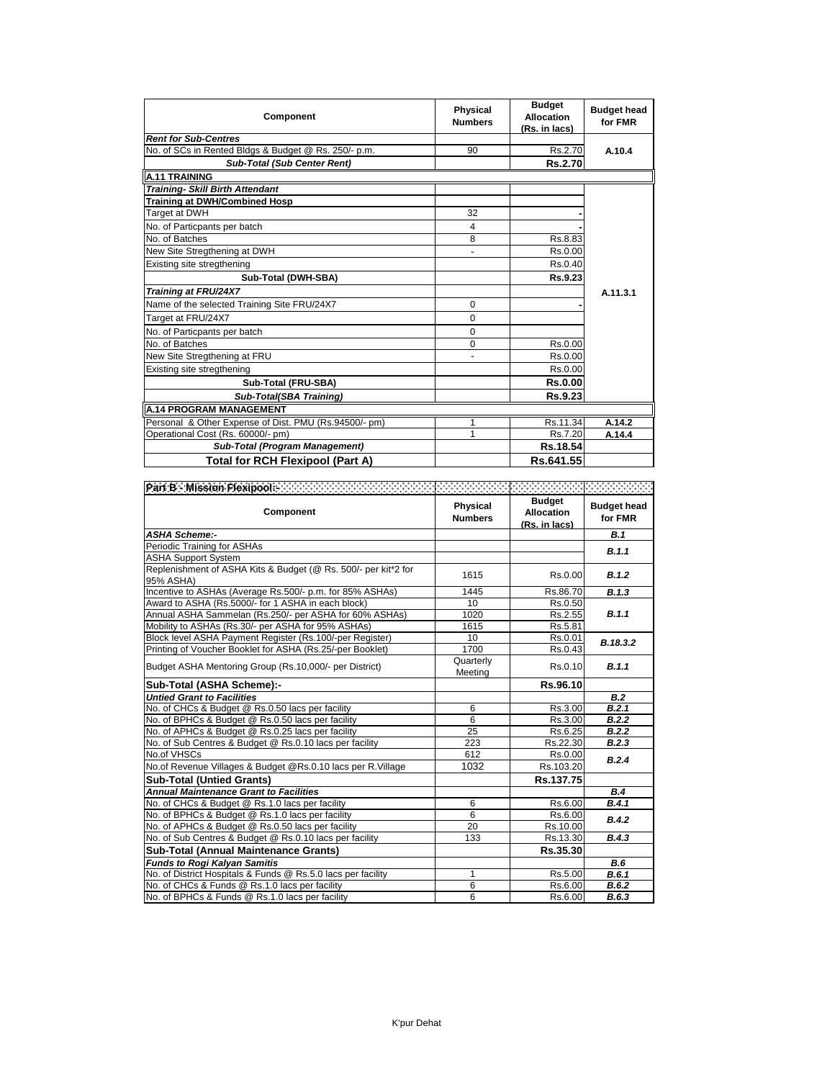| Component                                             | <b>Physical</b><br><b>Numbers</b> | <b>Budget</b><br><b>Allocation</b><br>(Rs. in lacs) | <b>Budget head</b><br>for FMR |
|-------------------------------------------------------|-----------------------------------|-----------------------------------------------------|-------------------------------|
| <b>Rent for Sub-Centres</b>                           |                                   |                                                     |                               |
| No. of SCs in Rented Bldgs & Budget @ Rs. 250/- p.m.  | 90                                | Rs.2.70                                             | A.10.4                        |
| <b>Sub-Total (Sub Center Rent)</b>                    |                                   | <b>Rs.2.70</b>                                      |                               |
| <b>A.11 TRAINING</b>                                  |                                   |                                                     |                               |
| <b>Training- Skill Birth Attendant</b>                |                                   |                                                     |                               |
| Training at DWH/Combined Hosp                         |                                   |                                                     |                               |
| Target at DWH                                         | 32                                |                                                     |                               |
| No. of Particpants per batch                          | 4                                 |                                                     |                               |
| No. of Batches                                        | 8                                 | Rs.8.83                                             |                               |
| New Site Stregthening at DWH                          | $\overline{\phantom{a}}$          | Rs.0.00                                             |                               |
| Existing site stregthening                            |                                   | Rs.0.40                                             |                               |
| Sub-Total (DWH-SBA)                                   |                                   | Rs.9.23                                             |                               |
| Training at FRU/24X7                                  |                                   |                                                     | A.11.3.1                      |
| Name of the selected Training Site FRU/24X7           | 0                                 |                                                     |                               |
| Target at FRU/24X7                                    | $\Omega$                          |                                                     |                               |
| No. of Particpants per batch                          | 0                                 |                                                     |                               |
| No. of Batches                                        | $\Omega$                          | Rs.0.00                                             |                               |
| New Site Stregthening at FRU                          |                                   | Rs.0.00                                             |                               |
| Existing site stregthening                            |                                   | Rs.0.00                                             |                               |
| Sub-Total (FRU-SBA)                                   |                                   | <b>Rs.0.00</b>                                      |                               |
| Sub-Total(SBA Training)                               |                                   | <b>Rs.9.23</b>                                      |                               |
| <b>A.14 PROGRAM MANAGEMENT</b>                        |                                   |                                                     |                               |
| Personal & Other Expense of Dist. PMU (Rs.94500/- pm) | 1                                 | Rs.11.34                                            | A.14.2                        |
| Operational Cost (Rs. 60000/- pm)                     | 1                                 | Rs.7.20                                             | A.14.4                        |
| Sub-Total (Program Management)                        |                                   | Rs.18.54                                            |                               |
| <b>Total for RCH Flexipool (Part A)</b>               |                                   | Rs.641.55                                           |                               |

| <b>Fart Bie Mission Flexi<u>noolse and and an american contract and an announcement and announcement and</u></b><br>Component | <b>Physical</b><br><b>Numbers</b> | <b>Budget</b><br><b>Allocation</b><br>(Rs. in lacs) | <b>Budget head</b><br>for FMR |
|-------------------------------------------------------------------------------------------------------------------------------|-----------------------------------|-----------------------------------------------------|-------------------------------|
| <b>ASHA Scheme:-</b>                                                                                                          |                                   |                                                     | B.1                           |
| Periodic Training for ASHAs                                                                                                   |                                   |                                                     | B.1.1                         |
| <b>ASHA Support System</b>                                                                                                    |                                   |                                                     |                               |
| Replenishment of ASHA Kits & Budget (@ Rs. 500/- per kit*2 for<br>95% ASHA)                                                   | 1615                              | Rs.0.00                                             | B.1.2                         |
| Incentive to ASHAs (Average Rs.500/- p.m. for 85% ASHAs)                                                                      | 1445                              | Rs.86.70                                            | B.1.3                         |
| Award to ASHA (Rs.5000/- for 1 ASHA in each block)                                                                            | 10                                | Rs.0.50                                             |                               |
| Annual ASHA Sammelan (Rs.250/- per ASHA for 60% ASHAs)                                                                        | 1020                              | Rs.2.55                                             | B.1.1                         |
| Mobility to ASHAs (Rs.30/- per ASHA for 95% ASHAs)                                                                            | 1615                              | Rs.5.81                                             |                               |
| Block level ASHA Payment Register (Rs.100/-per Register)                                                                      | 10                                | Rs.0.01                                             | B.18.3.2                      |
| Printing of Voucher Booklet for ASHA (Rs.25/-per Booklet)                                                                     | 1700                              | Rs.0.43                                             |                               |
| Budget ASHA Mentoring Group (Rs.10,000/- per District)                                                                        | Quarterly<br>Meeting              | Rs.0.10                                             | B.1.1                         |
| Sub-Total (ASHA Scheme):-                                                                                                     |                                   | Rs.96.10                                            |                               |
| <b>Untied Grant to Facilities</b>                                                                                             |                                   |                                                     | B.2                           |
| No. of CHCs & Budget @ Rs.0.50 lacs per facility                                                                              | 6                                 | Rs.3.00                                             | B.2.1                         |
| No. of BPHCs & Budget @ Rs.0.50 lacs per facility                                                                             | 6                                 | Rs.3.00                                             | B.2.2                         |
| No. of APHCs & Budget @ Rs.0.25 lacs per facility                                                                             | 25                                | Rs.6.25                                             | B.2.2                         |
| No. of Sub Centres & Budget @ Rs.0.10 lacs per facility                                                                       | 223                               | Rs.22.30                                            | B.2.3                         |
| No.of VHSCs                                                                                                                   | 612                               | Rs.0.00                                             | B.2.4                         |
| No.of Revenue Villages & Budget @Rs.0.10 lacs per R.Village                                                                   | 1032                              | Rs.103.20                                           |                               |
| <b>Sub-Total (Untied Grants)</b>                                                                                              |                                   | Rs.137.75                                           |                               |
| <b>Annual Maintenance Grant to Facilities</b>                                                                                 |                                   |                                                     | <b>B.4</b>                    |
| No. of CHCs & Budget @ Rs.1.0 lacs per facility                                                                               | 6                                 | Rs.6.00                                             | B.4.1                         |
| No. of BPHCs & Budget @ Rs.1.0 lacs per facility                                                                              | 6                                 | Rs.6.00                                             | B.4.2                         |
| No. of APHCs & Budget @ Rs.0.50 lacs per facility                                                                             | 20                                | Rs.10.00                                            |                               |
| No. of Sub Centres & Budget @ Rs.0.10 lacs per facility                                                                       | 133                               | Rs.13.30                                            | B.4.3                         |
| Sub-Total (Annual Maintenance Grants)                                                                                         |                                   | Rs.35.30                                            |                               |
| <b>Funds to Rogi Kalyan Samitis</b>                                                                                           |                                   |                                                     | <b>B.6</b>                    |
| No. of District Hospitals & Funds @ Rs.5.0 lacs per facility                                                                  | $\mathbf{1}$                      | Rs.5.00                                             | B.6.1                         |
| No. of CHCs & Funds @ Rs.1.0 lacs per facility                                                                                | 6                                 | Rs.6.00                                             | B.6.2                         |
| No. of BPHCs & Funds @ Rs.1.0 lacs per facility                                                                               | 6                                 | Rs.6.00                                             | B.6.3                         |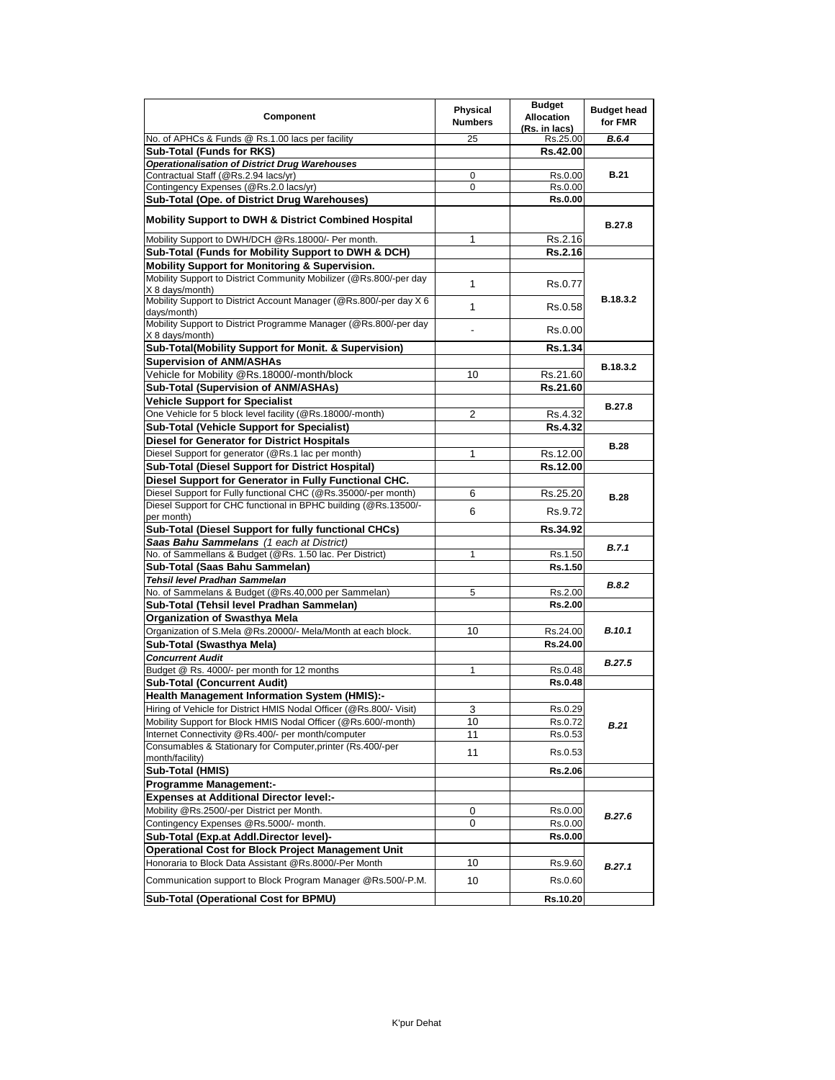| Component                                                                             | <b>Physical</b><br><b>Numbers</b> | <b>Budget</b><br><b>Allocation</b><br>(Rs. in lacs) | <b>Budget head</b><br>for FMR |
|---------------------------------------------------------------------------------------|-----------------------------------|-----------------------------------------------------|-------------------------------|
| No. of APHCs & Funds @ Rs.1.00 lacs per facility                                      | 25                                | Rs.25.00                                            | B.6.4                         |
| Sub-Total (Funds for RKS)                                                             |                                   | Rs.42.00                                            |                               |
| Operationalisation of District Drug Warehouses                                        |                                   |                                                     |                               |
| Contractual Staff (@Rs.2.94 lacs/yr)                                                  | 0                                 | Rs.0.00                                             | <b>B.21</b>                   |
| Contingency Expenses (@Rs.2.0 lacs/yr)                                                | 0                                 | Rs.0.00                                             |                               |
| Sub-Total (Ope. of District Drug Warehouses)                                          |                                   | <b>Rs.0.00</b>                                      |                               |
| <b>Mobility Support to DWH &amp; District Combined Hospital</b>                       |                                   |                                                     | <b>B.27.8</b>                 |
| Mobility Support to DWH/DCH @Rs.18000/- Per month.                                    | 1                                 | Rs.2.16                                             |                               |
| Sub-Total (Funds for Mobility Support to DWH & DCH)                                   |                                   | Rs.2.16                                             |                               |
| Mobility Support for Monitoring & Supervision.                                        |                                   |                                                     |                               |
| Mobility Support to District Community Mobilizer (@Rs.800/-per day<br>X 8 days/month) | $\mathbf{1}$                      | Rs.0.77                                             |                               |
| Mobility Support to District Account Manager (@Rs.800/-per day X 6<br>days/month)     | 1                                 | Rs.0.58                                             | B.18.3.2                      |
| Mobility Support to District Programme Manager (@Rs.800/-per day<br>X 8 days/month)   |                                   | Rs.0.00                                             |                               |
| Sub-Total(Mobility Support for Monit. & Supervision)                                  |                                   | Rs.1.34                                             |                               |
| <b>Supervision of ANM/ASHAs</b>                                                       |                                   |                                                     |                               |
| Vehicle for Mobility @Rs.18000/-month/block                                           | 10                                | Rs.21.60                                            | B.18.3.2                      |
| <b>Sub-Total (Supervision of ANM/ASHAs)</b>                                           |                                   | Rs.21.60                                            |                               |
| <b>Vehicle Support for Specialist</b>                                                 |                                   |                                                     |                               |
| One Vehicle for 5 block level facility (@Rs.18000/-month)                             | $\overline{2}$                    | Rs.4.32                                             | <b>B.27.8</b>                 |
| Sub-Total (Vehicle Support for Specialist)                                            |                                   | Rs.4.32                                             |                               |
| Diesel for Generator for District Hospitals                                           |                                   |                                                     |                               |
| Diesel Support for generator (@Rs.1 lac per month)                                    | 1                                 | Rs.12.00                                            | <b>B.28</b>                   |
| Sub-Total (Diesel Support for District Hospital)                                      |                                   | Rs.12.00                                            |                               |
| Diesel Support for Generator in Fully Functional CHC.                                 |                                   |                                                     |                               |
| Diesel Support for Fully functional CHC (@Rs.35000/-per month)                        | 6                                 | Rs.25.20                                            |                               |
| Diesel Support for CHC functional in BPHC building (@Rs.13500/-                       |                                   |                                                     | B.28                          |
| per month)                                                                            | 6                                 | Rs.9.72                                             |                               |
| Sub-Total (Diesel Support for fully functional CHCs)                                  |                                   | Rs.34.92                                            |                               |
| Saas Bahu Sammelans (1 each at District)                                              |                                   |                                                     | B.7.1                         |
| No. of Sammellans & Budget (@Rs. 1.50 lac. Per District)                              | 1                                 | Rs.1.50                                             |                               |
| Sub-Total (Saas Bahu Sammelan)                                                        |                                   | Rs.1.50                                             |                               |
| Tehsil level Pradhan Sammelan                                                         |                                   |                                                     | B.8.2                         |
| No. of Sammelans & Budget (@Rs.40,000 per Sammelan)                                   | 5                                 | Rs.2.00                                             |                               |
| Sub-Total (Tehsil level Pradhan Sammelan)                                             |                                   | Rs.2.00                                             |                               |
| Organization of Swasthya Mela                                                         |                                   |                                                     |                               |
| Organization of S.Mela @Rs.20000/- Mela/Month at each block.                          | 10                                | Rs.24.00                                            | <b>B.10.1</b>                 |
| Sub-Total (Swasthya Mela)                                                             |                                   | Rs.24.00                                            |                               |
| <b>Concurrent Audit</b>                                                               |                                   |                                                     | B.27.5                        |
| Budget @ Rs. 4000/- per month for 12 months                                           | 1                                 | Rs.0.48                                             |                               |
| Sub-Total (Concurrent Audit)                                                          |                                   | Rs.0.48                                             |                               |
| <b>Health Management Information System (HMIS):-</b>                                  |                                   |                                                     |                               |
| Hiring of Vehicle for District HMIS Nodal Officer (@Rs.800/- Visit)                   | З                                 | Rs.0.29                                             |                               |
| Mobility Support for Block HMIS Nodal Officer (@Rs.600/-month)                        | 10                                | Rs.0.72                                             | <b>B.21</b>                   |
| Internet Connectivity @Rs.400/- per month/computer                                    | 11                                | Rs.0.53                                             |                               |
| Consumables & Stationary for Computer, printer (Rs.400/-per<br>month/facility)        | 11                                | Rs.0.53                                             |                               |
| Sub-Total (HMIS)                                                                      |                                   | Rs.2.06                                             |                               |
| <b>Programme Management:-</b>                                                         |                                   |                                                     |                               |
| <b>Expenses at Additional Director level:-</b>                                        |                                   |                                                     |                               |
| Mobility @Rs.2500/-per District per Month.                                            | 0                                 | Rs.0.00                                             |                               |
| Contingency Expenses @Rs.5000/- month.                                                | 0                                 | Rs.0.00                                             | B.27.6                        |
| Sub-Total (Exp.at Addl.Director level)-                                               |                                   | Rs.0.00                                             |                               |
| Operational Cost for Block Project Management Unit                                    |                                   |                                                     |                               |
| Honoraria to Block Data Assistant @Rs.8000/-Per Month                                 | 10                                | Rs.9.60                                             |                               |
| Communication support to Block Program Manager @Rs.500/-P.M.                          | 10                                | Rs.0.60                                             | B.27.1                        |
| Sub-Total (Operational Cost for BPMU)                                                 |                                   | Rs.10.20                                            |                               |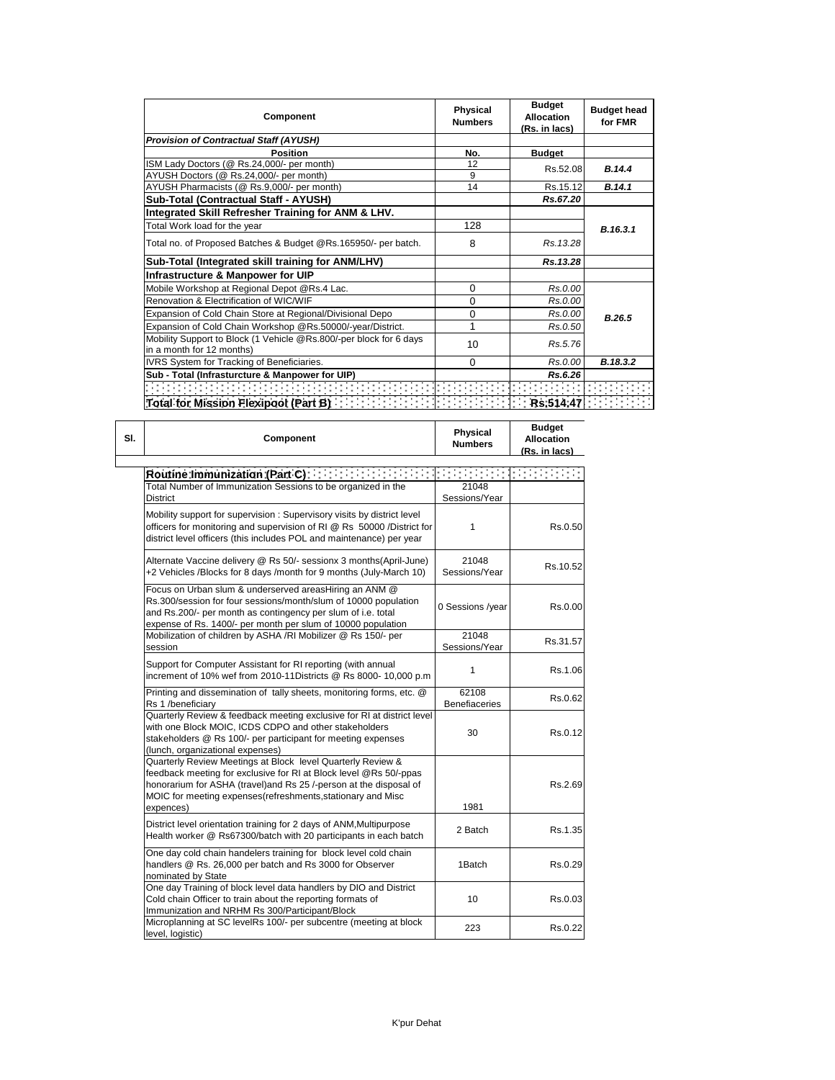| Component                                                                                       | Physical<br><b>Numbers</b> | <b>Budget</b><br><b>Allocation</b><br>(Rs. in lacs) | <b>Budget head</b><br>for FMR |
|-------------------------------------------------------------------------------------------------|----------------------------|-----------------------------------------------------|-------------------------------|
| <b>Provision of Contractual Staff (AYUSH)</b>                                                   |                            |                                                     |                               |
| <b>Position</b>                                                                                 | No.                        | <b>Budget</b>                                       |                               |
| ISM Lady Doctors (@ Rs.24,000/- per month)                                                      | 12                         | Rs.52.08                                            | B.14.4                        |
| AYUSH Doctors (@ Rs.24,000/- per month)                                                         | 9                          |                                                     |                               |
| AYUSH Pharmacists (@ Rs.9,000/- per month)                                                      | 14                         | Rs.15.12                                            | B.14.1                        |
| Sub-Total (Contractual Staff - AYUSH)                                                           |                            | Rs.67.20                                            |                               |
| Integrated Skill Refresher Training for ANM & LHV.                                              |                            |                                                     |                               |
| Total Work load for the year                                                                    | 128                        |                                                     | B.16.3.1                      |
| Total no. of Proposed Batches & Budget @Rs.165950/- per batch.                                  | 8                          | Rs. 13.28                                           |                               |
| Sub-Total (Integrated skill training for ANM/LHV)                                               |                            | Rs.13.28                                            |                               |
| Infrastructure & Manpower for UIP                                                               |                            |                                                     |                               |
| Mobile Workshop at Regional Depot @Rs.4 Lac.                                                    | 0                          | Rs.0.00                                             |                               |
| Renovation & Electrification of WIC/WIF                                                         | 0                          | Rs.0.00                                             |                               |
| Expansion of Cold Chain Store at Regional/Divisional Depo                                       | 0                          | Rs.0.00                                             | B.26.5                        |
| Expansion of Cold Chain Workshop @Rs.50000/-year/District.                                      | 1                          | Rs.0.50                                             |                               |
| Mobility Support to Block (1 Vehicle @Rs.800/-per block for 6 days<br>in a month for 12 months) | 10                         | Rs.5.76                                             |                               |
| IVRS System for Tracking of Beneficiaries.                                                      | $\Omega$                   | Rs.0.00                                             | B.18.3.2                      |
| Sub - Total (Infrasturcture & Manpower for UIP)                                                 |                            | Rs.6.26                                             |                               |
|                                                                                                 |                            |                                                     |                               |
|                                                                                                 |                            |                                                     |                               |

| SI. | Component                                                                                                                                                                                                                                                                         | <b>Physical</b><br><b>Numbers</b>                                                                                                                                                                                                                                                                                                                                                                                                                         | <b>Budget</b><br><b>Allocation</b><br>(Rs. in lacs) |
|-----|-----------------------------------------------------------------------------------------------------------------------------------------------------------------------------------------------------------------------------------------------------------------------------------|-----------------------------------------------------------------------------------------------------------------------------------------------------------------------------------------------------------------------------------------------------------------------------------------------------------------------------------------------------------------------------------------------------------------------------------------------------------|-----------------------------------------------------|
|     | Routine Immunization (Part C) [11] [11] [11] [11] [11]                                                                                                                                                                                                                            | $\mathcal{L}^{\mathcal{L}}(\mathcal{L}^{\mathcal{L}}(\mathcal{L}^{\mathcal{L}}(\mathcal{L}^{\mathcal{L}}(\mathcal{L}^{\mathcal{L}}(\mathcal{L}^{\mathcal{L}}(\mathcal{L}^{\mathcal{L}}(\mathcal{L}^{\mathcal{L}}(\mathcal{L}^{\mathcal{L}}(\mathcal{L}^{\mathcal{L}}(\mathcal{L}^{\mathcal{L}}(\mathcal{L}^{\mathcal{L}}(\mathcal{L}^{\mathcal{L}}(\mathcal{L}^{\mathcal{L}}(\mathcal{L}^{\mathcal{L}}(\mathcal{L}^{\mathcal{L}}(\mathcal{L}^{\mathcal{L$ |                                                     |
|     | Total Number of Immunization Sessions to be organized in the<br>District                                                                                                                                                                                                          | 21048<br>Sessions/Year                                                                                                                                                                                                                                                                                                                                                                                                                                    |                                                     |
|     | Mobility support for supervision: Supervisory visits by district level<br>officers for monitoring and supervision of RI @ Rs 50000 / District for<br>district level officers (this includes POL and maintenance) per year                                                         | 1                                                                                                                                                                                                                                                                                                                                                                                                                                                         | Rs.0.50                                             |
|     | Alternate Vaccine delivery @ Rs 50/- sessionx 3 months(April-June)<br>+2 Vehicles /Blocks for 8 days /month for 9 months (July-March 10)                                                                                                                                          | 21048<br>Sessions/Year                                                                                                                                                                                                                                                                                                                                                                                                                                    | Rs.10.52                                            |
|     | Focus on Urban slum & underserved areasHiring an ANM @<br>Rs.300/session for four sessions/month/slum of 10000 population<br>and Rs.200/- per month as contingency per slum of i.e. total<br>expense of Rs. 1400/- per month per slum of 10000 population                         | 0 Sessions /year                                                                                                                                                                                                                                                                                                                                                                                                                                          | Rs.0.00                                             |
|     | Mobilization of children by ASHA /RI Mobilizer @ Rs 150/- per<br>session                                                                                                                                                                                                          | 21048<br>Sessions/Year                                                                                                                                                                                                                                                                                                                                                                                                                                    | Rs.31.57                                            |
|     | Support for Computer Assistant for RI reporting (with annual<br>increment of 10% wef from 2010-11Districts @ Rs 8000- 10,000 p.m                                                                                                                                                  | 1                                                                                                                                                                                                                                                                                                                                                                                                                                                         | Rs.1.06                                             |
|     | Printing and dissemination of tally sheets, monitoring forms, etc. @<br>Rs 1 /beneficiary                                                                                                                                                                                         | 62108<br><b>Benefiaceries</b>                                                                                                                                                                                                                                                                                                                                                                                                                             | Rs.0.62                                             |
|     | Quarterly Review & feedback meeting exclusive for RI at district level<br>with one Block MOIC, ICDS CDPO and other stakeholders<br>stakeholders @ Rs 100/- per participant for meeting expenses<br>(lunch, organizational expenses)                                               | 30                                                                                                                                                                                                                                                                                                                                                                                                                                                        | Rs.0.12                                             |
|     | Quarterly Review Meetings at Block level Quarterly Review &<br>feedback meeting for exclusive for RI at Block level @Rs 50/-ppas<br>honorarium for ASHA (travel)and Rs 25 /-person at the disposal of<br>MOIC for meeting expenses(refreshments, stationary and Misc<br>expences) | 1981                                                                                                                                                                                                                                                                                                                                                                                                                                                      | Rs.2.69                                             |
|     | District level orientation training for 2 days of ANM, Multipurpose<br>Health worker @ Rs67300/batch with 20 participants in each batch                                                                                                                                           | 2 Batch                                                                                                                                                                                                                                                                                                                                                                                                                                                   | Rs.1.35                                             |
|     | One day cold chain handelers training for block level cold chain<br>handlers @ Rs. 26,000 per batch and Rs 3000 for Observer<br>nominated by State                                                                                                                                | 1Batch                                                                                                                                                                                                                                                                                                                                                                                                                                                    | Rs.0.29                                             |
|     | One day Training of block level data handlers by DIO and District<br>Cold chain Officer to train about the reporting formats of<br>Immunization and NRHM Rs 300/Participant/Block                                                                                                 | 10                                                                                                                                                                                                                                                                                                                                                                                                                                                        | Rs.0.03                                             |
|     | Microplanning at SC levelRs 100/- per subcentre (meeting at block<br>level, logistic)                                                                                                                                                                                             | 223                                                                                                                                                                                                                                                                                                                                                                                                                                                       | Rs.0.22                                             |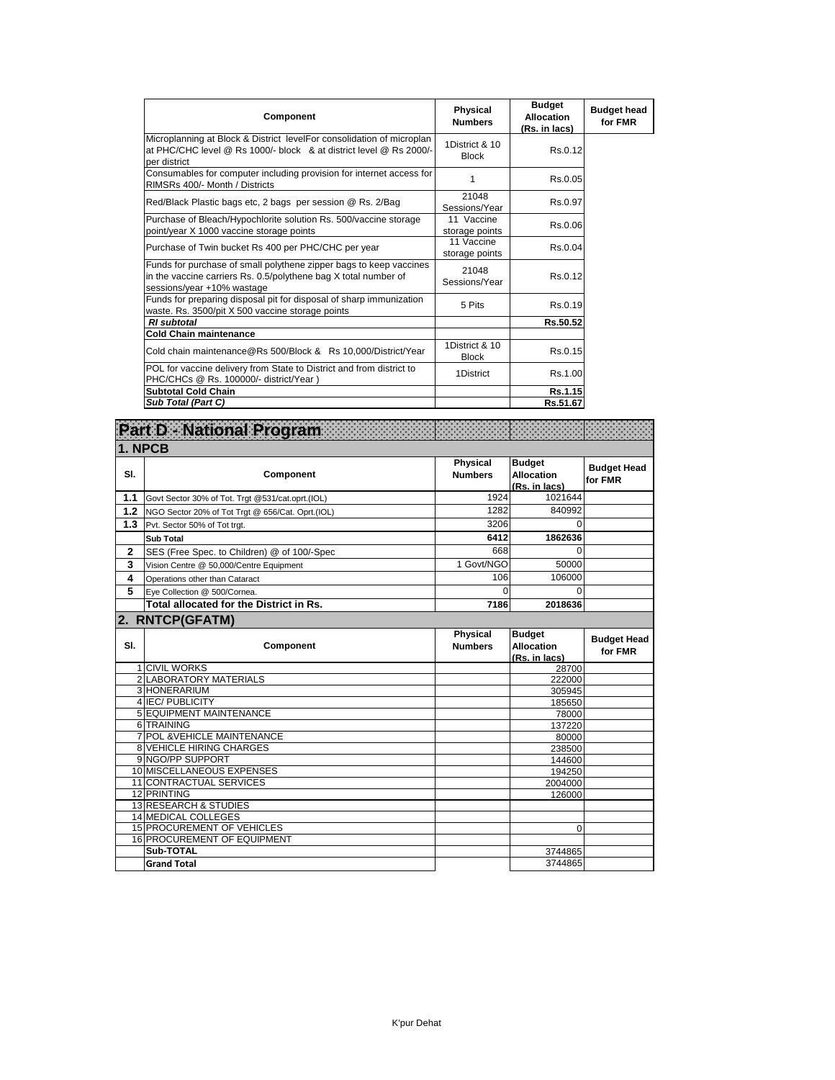| Component                                                                                                                                                           | Physical<br><b>Numbers</b>     | <b>Budget</b><br><b>Allocation</b><br>(Rs. in lacs) | <b>Budget head</b><br>for FMR |
|---------------------------------------------------------------------------------------------------------------------------------------------------------------------|--------------------------------|-----------------------------------------------------|-------------------------------|
| Microplanning at Block & District levelFor consolidation of microplan<br>at PHC/CHC level @ Rs 1000/- block & at district level @ Rs 2000/-<br>per district         | 1District & 10<br><b>Block</b> | Rs.0.12                                             |                               |
| Consumables for computer including provision for internet access for<br>RIMSRs 400/- Month / Districts                                                              |                                | Rs.0.05                                             |                               |
| Red/Black Plastic bags etc, 2 bags per session @ Rs. 2/Bag                                                                                                          | 21048<br>Sessions/Year         | Rs.0.97                                             |                               |
| Purchase of Bleach/Hypochlorite solution Rs. 500/vaccine storage<br>point/year X 1000 vaccine storage points                                                        | 11 Vaccine<br>storage points   | Rs.0.06                                             |                               |
| Purchase of Twin bucket Rs 400 per PHC/CHC per year                                                                                                                 | 11 Vaccine<br>storage points   | Rs.0.04                                             |                               |
| Funds for purchase of small polythene zipper bags to keep vaccines<br>in the vaccine carriers Rs. 0.5/polythene bag X total number of<br>sessions/year +10% wastage | 21048<br>Sessions/Year         | Rs.0.12                                             |                               |
| Funds for preparing disposal pit for disposal of sharp immunization<br>waste. Rs. 3500/pit X 500 vaccine storage points                                             | 5 Pits                         | Rs.0.19                                             |                               |
| <b>RI</b> subtotal                                                                                                                                                  |                                | Rs.50.52                                            |                               |
| <b>Cold Chain maintenance</b>                                                                                                                                       |                                |                                                     |                               |
| Cold chain maintenance@Rs 500/Block & Rs 10.000/District/Year                                                                                                       | 1District & 10<br><b>Block</b> | Rs.0.15                                             |                               |
| POL for vaccine delivery from State to District and from district to<br>PHC/CHCs @ Rs. 100000/- district/Year )                                                     | 1District                      | Rs.1.00                                             |                               |
| <b>Subtotal Cold Chain</b>                                                                                                                                          |                                | Rs.1.15                                             |                               |
| Sub Total (Part C)                                                                                                                                                  |                                | Rs.51.67                                            |                               |

|              | <b>Part D - National Program</b>                 |                                   |                                                     |                               |
|--------------|--------------------------------------------------|-----------------------------------|-----------------------------------------------------|-------------------------------|
| 1. NPCB      |                                                  |                                   |                                                     |                               |
| SI.          | Component                                        | <b>Physical</b><br><b>Numbers</b> | <b>Budget</b><br><b>Allocation</b><br>(Rs. in lacs) | <b>Budget Head</b><br>for FMR |
| 1.1          | Govt Sector 30% of Tot. Trgt @531/cat.oprt.(IOL) | 1924                              | 1021644                                             |                               |
| 1.2          | NGO Sector 20% of Tot Trgt @ 656/Cat. Oprt.(IOL) | 1282                              | 840992                                              |                               |
| 1.3          | Pvt. Sector 50% of Tot trgt.                     | 3206                              | $\Omega$                                            |                               |
|              | <b>Sub Total</b>                                 | 6412                              | 1862636                                             |                               |
| $\mathbf{2}$ | SES (Free Spec. to Children) @ of 100/-Spec      | 668                               | $\Omega$                                            |                               |
| 3            | Vision Centre @ 50,000/Centre Equipment          | 1 Govt/NGO                        | 50000                                               |                               |
| 4            | Operations other than Cataract                   | 106                               | 106000                                              |                               |
| 5            | Eye Collection @ 500/Cornea.                     | 0                                 | 0                                                   |                               |
|              | Total allocated for the District in Rs.          | 7186                              | 2018636                                             |                               |
|              | 2. RNTCP(GFATM)                                  |                                   |                                                     |                               |
| SI.          | Component                                        | <b>Physical</b><br><b>Numbers</b> | <b>Budget</b><br><b>Allocation</b><br>(Rs. in lacs) | <b>Budget Head</b><br>for FMR |
|              | <b>1 CIVIL WORKS</b>                             |                                   | 28700                                               |                               |
|              | <b>2 LABORATORY MATERIALS</b>                    |                                   | 222000                                              |                               |
|              | 3 HONERARIUM                                     |                                   | 305945                                              |                               |
|              | 4 IEC/ PUBLICITY                                 |                                   | 185650                                              |                               |
|              | <b>5 EQUIPMENT MAINTENANCE</b>                   |                                   | 78000                                               |                               |
|              | 6 TRAINING                                       |                                   | 137220                                              |                               |
|              | <b>7 POL &amp; VEHICLE MAINTENANCE</b>           |                                   | 80000                                               |                               |
|              | <b>8 VEHICLE HIRING CHARGES</b>                  |                                   | 238500                                              |                               |
|              | 9 NGO/PP SUPPORT                                 |                                   | 144600                                              |                               |
|              | 10 MISCELLANEOUS EXPENSES                        |                                   | 194250                                              |                               |
|              | 11 CONTRACTUAL SERVICES<br><b>12 PRINTING</b>    |                                   | 2004000                                             |                               |
|              | <b>13 RESEARCH &amp; STUDIES</b>                 |                                   | 126000                                              |                               |
|              | <b>14 MEDICAL COLLEGES</b>                       |                                   |                                                     |                               |
|              | 15 PROCUREMENT OF VEHICLES                       |                                   | $\Omega$                                            |                               |
|              | 16 PROCUREMENT OF EQUIPMENT                      |                                   |                                                     |                               |
|              |                                                  |                                   |                                                     |                               |
|              |                                                  |                                   |                                                     |                               |
|              | Sub-TOTAL<br><b>Grand Total</b>                  |                                   | 3744865<br>3744865                                  |                               |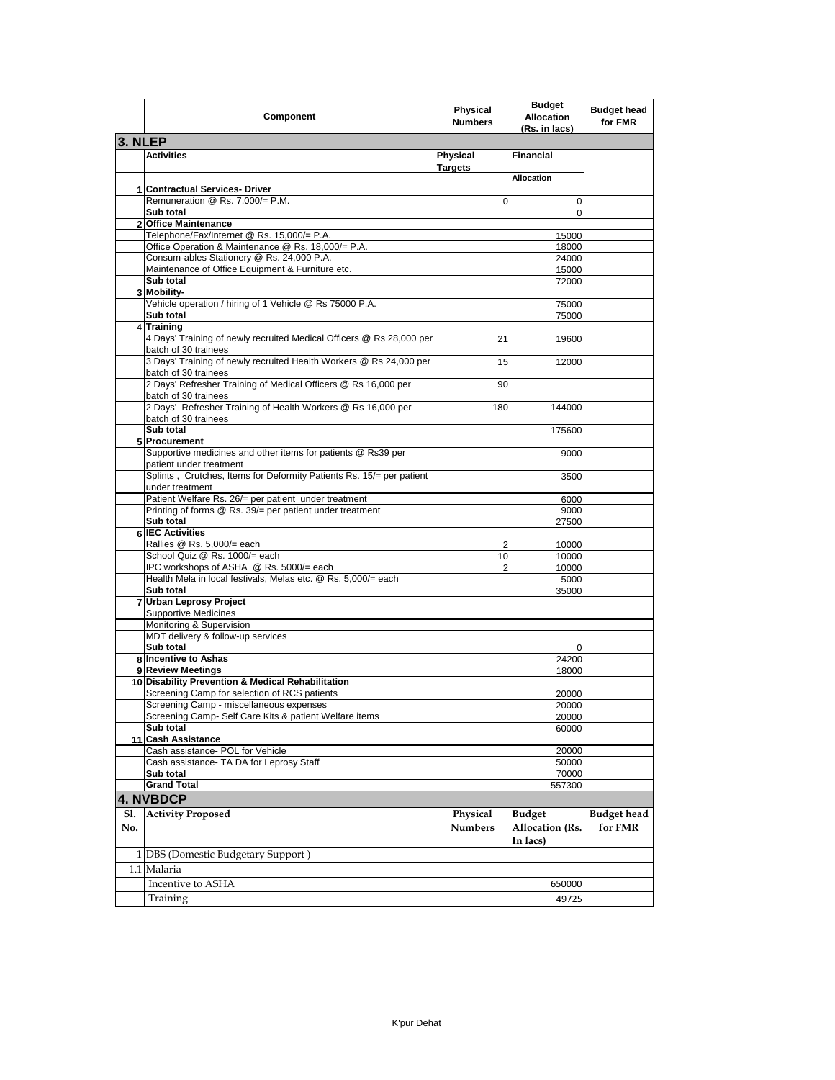|            | Component                                                                                     | <b>Physical</b><br><b>Numbers</b> | <b>Budget</b><br><b>Allocation</b><br>(Rs. in lacs) | <b>Budget head</b><br>for FMR |
|------------|-----------------------------------------------------------------------------------------------|-----------------------------------|-----------------------------------------------------|-------------------------------|
| 3. NLEP    |                                                                                               |                                   |                                                     |                               |
|            | <b>Activities</b>                                                                             | <b>Physical</b><br><b>Targets</b> | <b>Financial</b>                                    |                               |
|            | 1 Contractual Services- Driver                                                                |                                   | <b>Allocation</b>                                   |                               |
|            | Remuneration @ Rs. 7,000/= P.M.                                                               | $\mathbf 0$                       | $\mathbf 0$                                         |                               |
|            | Sub total                                                                                     |                                   | 0                                                   |                               |
|            | 2 Office Maintenance                                                                          |                                   |                                                     |                               |
|            | Telephone/Fax/Internet @ Rs. 15,000/= P.A.                                                    |                                   | 15000                                               |                               |
|            | Office Operation & Maintenance @ Rs. 18,000/= P.A.                                            |                                   | 18000                                               |                               |
|            | Consum-ables Stationery @ Rs. 24,000 P.A.<br>Maintenance of Office Equipment & Furniture etc. |                                   | 24000                                               |                               |
|            | Sub total                                                                                     |                                   | 15000<br>72000                                      |                               |
|            | 3 Mobility-                                                                                   |                                   |                                                     |                               |
|            | Vehicle operation / hiring of 1 Vehicle @ Rs 75000 P.A.                                       |                                   | 75000                                               |                               |
|            | Sub total                                                                                     |                                   | 75000                                               |                               |
|            | 4 Training                                                                                    |                                   |                                                     |                               |
|            | 4 Days' Training of newly recruited Medical Officers @ Rs 28,000 per<br>batch of 30 trainees  | 21                                | 19600                                               |                               |
|            | 3 Days' Training of newly recruited Health Workers @ Rs 24,000 per<br>batch of 30 trainees    | 15                                | 12000                                               |                               |
|            | 2 Days' Refresher Training of Medical Officers @ Rs 16,000 per<br>batch of 30 trainees        | 90                                |                                                     |                               |
|            | 2 Days' Refresher Training of Health Workers @ Rs 16,000 per<br>batch of 30 trainees          | 180                               | 144000                                              |                               |
|            | Sub total                                                                                     |                                   | 175600                                              |                               |
|            | 5 Procurement                                                                                 |                                   |                                                     |                               |
|            | Supportive medicines and other items for patients @ Rs39 per<br>patient under treatment       |                                   | 9000                                                |                               |
|            | Splints, Crutches, Items for Deformity Patients Rs. 15/= per patient<br>under treatment       |                                   | 3500                                                |                               |
|            | Patient Welfare Rs. 26/= per patient under treatment                                          |                                   | 6000                                                |                               |
|            | Printing of forms @ Rs. 39/= per patient under treatment<br>Sub total                         |                                   | 9000<br>27500                                       |                               |
|            | <b>6 IEC Activities</b>                                                                       |                                   |                                                     |                               |
|            | Rallies @ Rs. 5,000/= each                                                                    | $\overline{2}$                    | 10000                                               |                               |
|            | School Quiz @ Rs. 1000/= each                                                                 | 10                                | 10000                                               |                               |
|            | IPC workshops of ASHA @ Rs. 5000/= each                                                       | 2                                 | 10000                                               |                               |
|            | Health Mela in local festivals, Melas etc. @ Rs. 5,000/= each                                 |                                   | 5000                                                |                               |
|            | Sub total<br>7 Urban Leprosy Project                                                          |                                   | 35000                                               |                               |
|            | <b>Supportive Medicines</b>                                                                   |                                   |                                                     |                               |
|            | Monitoring & Supervision                                                                      |                                   |                                                     |                               |
|            | MDT delivery & follow-up services                                                             |                                   |                                                     |                               |
|            | Sub total                                                                                     |                                   | 0                                                   |                               |
|            | 8 Incentive to Ashas                                                                          |                                   | 24200                                               |                               |
|            | 9 Review Meetings<br>10 Disability Prevention & Medical Rehabilitation                        |                                   | 18000                                               |                               |
|            | Screening Camp for selection of RCS patients                                                  |                                   | 20000                                               |                               |
|            | Screening Camp - miscellaneous expenses                                                       |                                   | 20000                                               |                               |
|            | Screening Camp- Self Care Kits & patient Welfare items                                        |                                   | 20000                                               |                               |
|            | Sub total                                                                                     |                                   | 60000                                               |                               |
|            | 11 Cash Assistance                                                                            |                                   |                                                     |                               |
|            | Cash assistance- POL for Vehicle                                                              |                                   | 20000                                               |                               |
|            | Cash assistance- TA DA for Leprosy Staff                                                      |                                   | 50000                                               |                               |
|            | Sub total<br><b>Grand Total</b>                                                               |                                   | 70000<br>557300                                     |                               |
|            | 4. NVBDCP                                                                                     |                                   |                                                     |                               |
|            |                                                                                               |                                   |                                                     |                               |
| Sl.<br>No. | <b>Activity Proposed</b>                                                                      | Physical<br><b>Numbers</b>        | <b>Budget</b><br><b>Allocation</b> (Rs.<br>In lacs) | <b>Budget</b> head<br>for FMR |
|            |                                                                                               |                                   |                                                     |                               |
|            | 1 DBS (Domestic Budgetary Support)<br>1.1 Malaria                                             |                                   |                                                     |                               |
|            | Incentive to ASHA                                                                             |                                   | 650000                                              |                               |
|            |                                                                                               |                                   |                                                     |                               |
|            | Training                                                                                      |                                   | 49725                                               |                               |